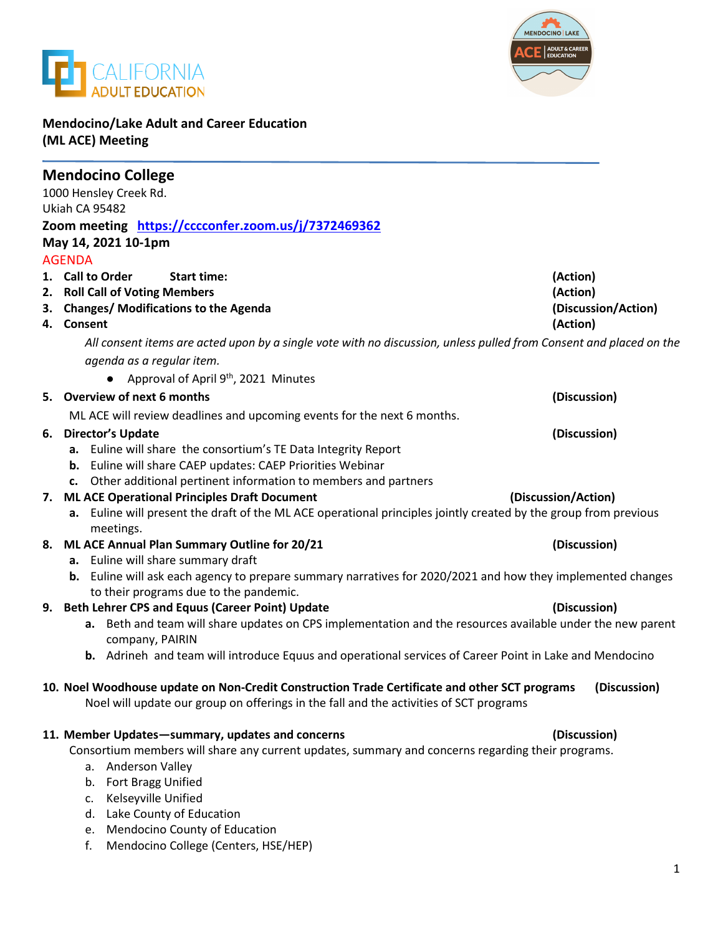



## **Mendocino/Lake Adult and Career Education (ML ACE) Meeting**

| <b>Mendocino College</b>                                                                                           |                      |
|--------------------------------------------------------------------------------------------------------------------|----------------------|
| 1000 Hensley Creek Rd.<br>Ukiah CA 95482                                                                           |                      |
|                                                                                                                    |                      |
| Zoom meeting https://cccconfer.zoom.us/j/7372469362                                                                |                      |
| May 14, 2021 10-1pm                                                                                                |                      |
| <b>AGENDA</b><br>1. Call to Order<br><b>Start time:</b>                                                            |                      |
| 2. Roll Call of Voting Members                                                                                     | (Action)<br>(Action) |
| 3. Changes/ Modifications to the Agenda                                                                            | (Discussion/Action)  |
| 4. Consent                                                                                                         | (Action)             |
| All consent items are acted upon by a single vote with no discussion, unless pulled from Consent and placed on the |                      |
| agenda as a regular item.                                                                                          |                      |
| Approval of April 9 <sup>th</sup> , 2021 Minutes                                                                   |                      |
| 5. Overview of next 6 months                                                                                       | (Discussion)         |
|                                                                                                                    |                      |
| ML ACE will review deadlines and upcoming events for the next 6 months.                                            |                      |
| 6. Director's Update<br>a. Euline will share the consortium's TE Data Integrity Report                             | (Discussion)         |
| b. Euline will share CAEP updates: CAEP Priorities Webinar                                                         |                      |
| c. Other additional pertinent information to members and partners                                                  |                      |
| 7. ML ACE Operational Principles Draft Document                                                                    | (Discussion/Action)  |
| a. Euline will present the draft of the ML ACE operational principles jointly created by the group from previous   |                      |
| meetings.                                                                                                          |                      |
| 8. ML ACE Annual Plan Summary Outline for 20/21                                                                    | (Discussion)         |
| a. Euline will share summary draft                                                                                 |                      |
| b. Euline will ask each agency to prepare summary narratives for 2020/2021 and how they implemented changes        |                      |
| to their programs due to the pandemic.                                                                             |                      |
| 9. Beth Lehrer CPS and Equus (Career Point) Update                                                                 | (Discussion)         |
| a. Beth and team will share updates on CPS implementation and the resources available under the new parent         |                      |
| company, PAIRIN                                                                                                    |                      |
| <b>b.</b> Adrineh and team will introduce Equus and operational services of Career Point in Lake and Mendocino     |                      |
| 10. Noel Woodhouse update on Non-Credit Construction Trade Certificate and other SCT programs (Discussion)         |                      |
| Noel will update our group on offerings in the fall and the activities of SCT programs                             |                      |
| 11. Member Updates-summary, updates and concerns                                                                   | (Discussion)         |
| Consortium members will share any current updates, summary and concerns regarding their programs.                  |                      |
| a. Anderson Valley                                                                                                 |                      |
| b. Fort Bragg Unified                                                                                              |                      |
| Kelseyville Unified<br>c.                                                                                          |                      |
| Lake County of Education<br>d.                                                                                     |                      |
| Mendocino County of Education<br>e.                                                                                |                      |
| Mendocino College (Centers, HSE/HEP)<br>f.                                                                         |                      |